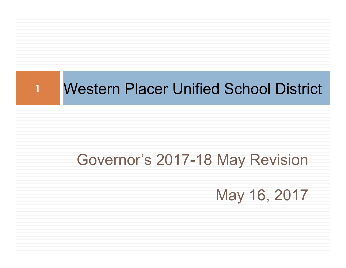

**1**

### Governor's 2017-18 May Revision

May 16, 2017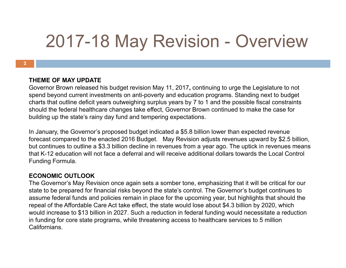## 2017-18 May Revision - Overview

#### **THEME OF MAY UPDATE**

Governor Brown released his budget revision May 11, 2017**,** continuing to urge the Legislature to not spend beyond current investments on anti-poverty and education programs. Standing next to budget charts that outline deficit years outweighing surplus years by 7 to 1 and the possible fiscal constraints should the federal healthcare changes take effect, Governor Brown continued to make the case for building up the state's rainy day fund and tempering expectations.

In January, the Governor's proposed budget indicated a \$5.8 billion lower than expected revenue forecast compared to the enacted 2016 Budget. May Revision adjusts revenues upward by \$2.5 billion, but continues to outline a \$3.3 billion decline in revenues from a year ago. The uptick in revenues means that K-12 education will not face a deferral and will receive additional dollars towards the Local Control Funding Formula.

#### **ECONOMIC OUTLOOK**

The Governor's May Revision once again sets a somber tone, emphasizing that it will be critical for our state to be prepared for financial risks beyond the state's control. The Governor's budget continues to assume federal funds and policies remain in place for the upcoming year, but highlights that should the repeal of the Affordable Care Act take effect, the state would lose about \$4.3 billion by 2020, which would increase to \$13 billion in 2027. Such a reduction in federal funding would necessitate a reduction in funding for core state programs, while threatening access to healthcare services to 5 million Californians.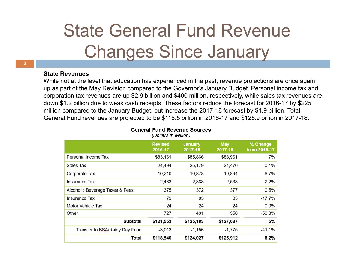## State General Fund Revenue Changes Since January

#### **State Revenues**

While not at the level that education has experienced in the past, revenue projections are once again up as part of the May Revision compared to the Governor's January Budget. Personal income tax and corporation tax revenues are up \$2.9 billion and \$400 million, respectively, while sales tax revenues are down \$1.2 billion due to weak cash receipts. These factors reduce the forecast for 2016-17 by \$225 million compared to the January Budget, but increase the 2017-18 forecast by \$1.9 billion. Total General Fund revenues are projected to be \$118.5 billion in 2016-17 and \$125.9 billion in 2017-18.

|                                 | <b>Revised</b><br>2016-17 | <b>January</b><br>2017-18 | <b>May</b><br>2017-18 | % Change<br>from 2016-17 |
|---------------------------------|---------------------------|---------------------------|-----------------------|--------------------------|
| Personal Income Tax             | \$83,161                  | \$85,866                  | \$88,961              | 7%                       |
| Sales Tax                       | 24,494                    | 25,179                    | 24,470                | $-0.1%$                  |
| Corporate Tax                   | 10,210                    | 10,878                    | 10,894                | 6.7%                     |
| <b>Insurance Tax</b>            | 2,483                     | 2,368                     | 2,538                 | 2.2%                     |
| Alcoholic Beverage Taxes & Fees | 375                       | 372                       | 377                   | 0.5%                     |
| <b>Insurance Tax</b>            | 79                        | 65                        | 65                    | $-17.7%$                 |
| Motor Vehicle Tax               | 24                        | 24                        | 24                    | $0.0\%$                  |
| Other                           | 727                       | 431                       | 358                   | $-50.8%$                 |
| <b>Subtotal</b>                 | \$121,553                 | \$125,183                 | \$127,687             | 5%                       |
| Transfer to BSA/Rainy Day Fund  | $-3,013$                  | $-1,156$                  | $-1,775$              | $-41.1%$                 |
| Total                           | \$118,540                 | \$124,027                 | \$125,912             | 6.2%                     |

#### **General Fund Revenue Sources** (Dollars in Million)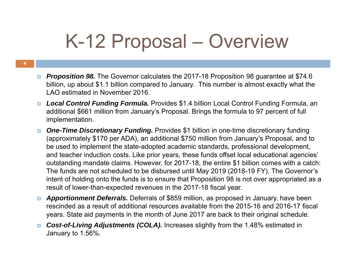# K-12 Proposal – Overview

- O. *Proposition 98.* The Governor calculates the 2017-18 Proposition 98 guarantee at \$74.6 billion, up about \$1.1 billion compared to January. This number is almost exactly what the LAO estimated in November 2016
- *Local Control Funding Formula.* Provides \$1.4 billion Local Control Funding Formula, an additional \$661 million from January's Proposal. Brings the formula to 97 percent of full implementation.
- *One-Time Discretionary Funding.* Provides \$1 billion in one-time discretionary funding (approximately \$170 per ADA), an additional \$750 million from January's Proposal, and to be used to implement the state-adopted academic standards, professional development, and teacher induction costs. Like prior years, these funds offset local educational agencies' outstanding mandate claims. However, for 2017-18, the entire \$1 billion comes with a catch: The funds are not scheduled to be disbursed until May 2019 (2018-19 FY). The Governor's intent of holding onto the funds is to ensure that Proposition 98 is not over appropriated as a result of lower-than-expected revenues in the 2017-18 fiscal year.
- o. *Apportionment Deferrals.* Deferrals of \$859 million, as proposed in January, have been rescinded as a result of additional resources available from the 2015-16 and 2016-17 fiscal years. State aid payments in the month of June 2017 are back to their original schedule.
- п. *Cost-of-Living Adjustments (COLA).* Increases slightly from the 1.48% estimated in January to 1.56%.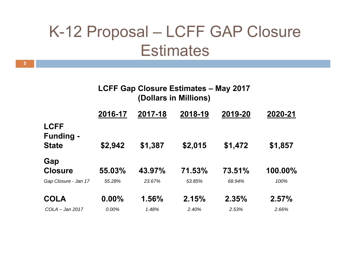### K-12 Proposal – LCFF GAP Closure **Estimates**

| <b>LCFF Gap Closure Estimates - May 2017</b> |                       |  |
|----------------------------------------------|-----------------------|--|
|                                              | (Dollars in Millions) |  |

|                                                 | 2016-17  | 2017-18 | 2018-19 | 2019-20 | 2020-21 |
|-------------------------------------------------|----------|---------|---------|---------|---------|
| <b>LCFF</b><br><b>Funding -</b><br><b>State</b> | \$2,942  | \$1,387 | \$2,015 | \$1,472 | \$1,857 |
| Gap<br><b>Closure</b>                           | 55.03%   | 43.97%  | 71.53%  | 73.51%  | 100.00% |
| Gap Closure - Jan 17                            | 55.28%   | 23.67%  | 53.85%  | 68.94%  | 100%    |
| <b>COLA</b>                                     | $0.00\%$ | 1.56%   | 2.15%   | 2.35%   | 2.57%   |
| $COLA - Jan 2017$                               | 0.00%    | 1.48%   | 2.40%   | 2.53%   | 2.66%   |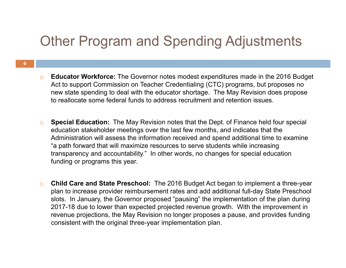### Other Program and Spending Adjustments

- $\Box$  **Educator Workforce:** The Governor notes modest expenditures made in the 2016 Budget Act to support Commission on Teacher Credentialing (CTC) programs, but proposes no new state spending to deal with the educator shortage. The May Revision does propose to reallocate some federal funds to address recruitment and retention issues.
- $\Box$  **Special Education:** The May Revision notes that the Dept. of Finance held four special education stakeholder meetings over the last few months, and indicates that the Administration will assess the information received and spend additional time to examine "a path forward that will maximize resources to serve students while increasing transparency and accountability." In other words, no changes for special education funding or programs this year.
- $\Box$  **Child Care and State Preschool:** The 2016 Budget Act began to implement a three-year plan to increase provider reimbursement rates and add additional full-day State Preschool slots. In January, the Governor proposed "pausing" the implementation of the plan during 2017-18 due to lower than expected projected revenue growth. With the improvement in revenue projections, the May Revision no longer proposes a pause, and provides funding consistent with the original three-year implementation plan.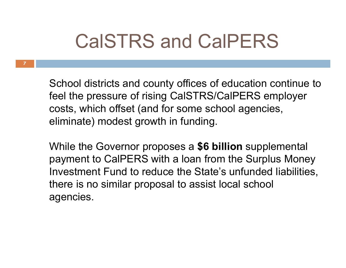## CalSTRS and CalPERS

School districts and county offices of education continue to feel the pressure of rising CalSTRS/CalPERS employer costs, which offset (and for some school agencies, eliminate) modest growth in funding.

While the Governor proposes a **\$6 billion** supplemental payment to CalPERS with a loan from the Surplus Money Investment Fund to reduce the State's unfunded liabilities, there is no similar proposal to assist local school agencies.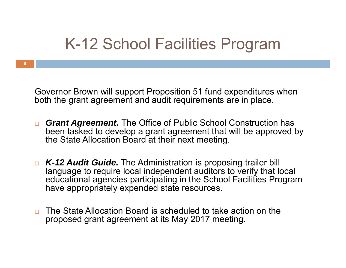### K-12 School Facilities Program

Governor Brown will support Proposition 51 fund expenditures when both the grant agreement and audit requirements are in place.

- *Grant Agreement.* The Office of Public School Construction has been tasked to develop a grant agreement that will be approved by the State Allocation Board at their next meeting.
- *K-12 Audit Guide.* The Administration is proposing trailer bill language to require local independent auditors to verify that local educational agencies participating in the School Facilities Program have appropriately expended state resources.
- □ The State Allocation Board is scheduled to take action on the proposed grant agreement at its May 2017 meeting.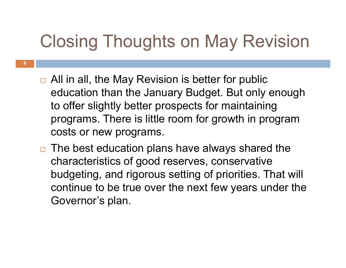## Closing Thoughts on May Revision

- □ All in all, the May Revision is better for public education than the January Budget. But only enough to offer slightly better prospects for maintaining programs. There is little room for growth in program costs or new programs.
- $\Box$  The best education plans have always shared the characteristics of good reserves, conservative budgeting, and rigorous setting of priorities. That will continue to be true over the next few years under the Governor's plan.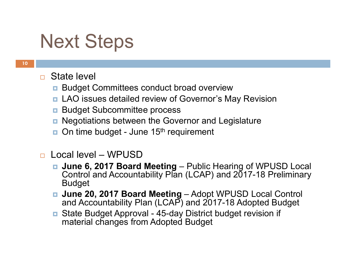## Next Steps

- $\Box$  State level
	- **Budget Committees conduct broad overview**
	- **<u>n</u>** LAO issues detailed review of Governor's May Revision
	- $\Box$ Budget Subcommittee process
	- **<u>n</u>** Negotiations between the Governor and Legislature
	- On time budget June 15<sup>th</sup> requirement
- $\Box$  Local level – WPUSD
	- June 6, 2017 Board Meeting Public Hearing of WPUSD Local Control and Accountability Plan (LCAP) and 2017-18 Preliminary Budget
	- June 20, 2017 Board Meeting Adopt WPUSD Local Control and Accountability Plan (LCAP) and 2017-18 Adopted Budget
	- State Budget Approval 45-day District budget revision if material changes from Adopted Budget